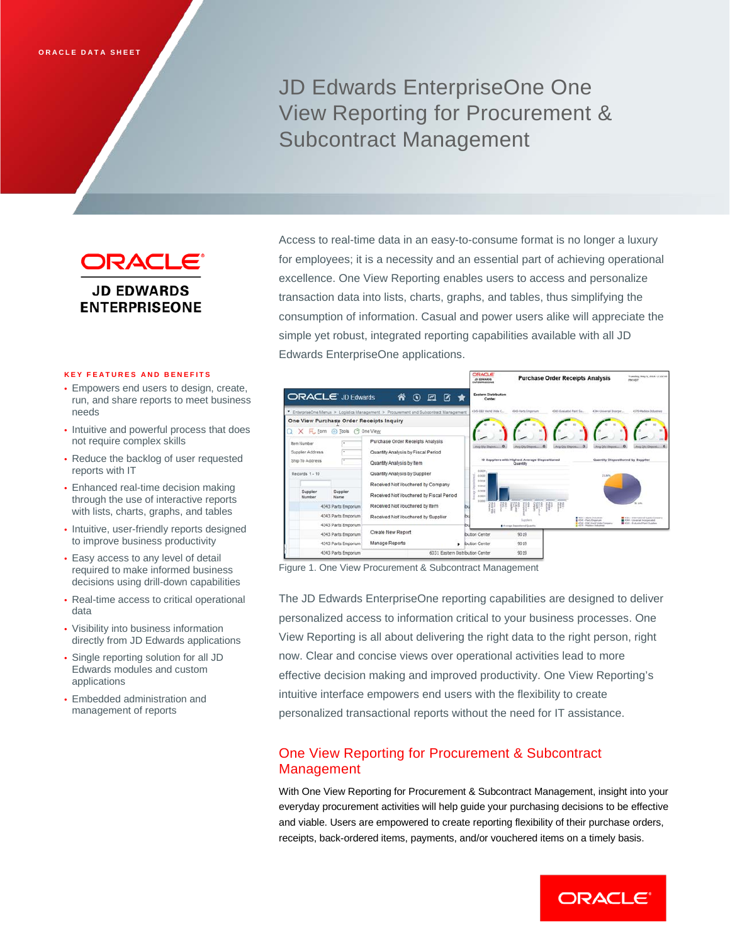JD Edwards EnterpriseOne One View Reporting for Procurement & Subcontract Management

ORACLE' **JD EDWARDS ENTERPRISEONE** 

### **KEY FEATURES AND BENEFITS**

- Empowers end users to design, create, run, and share reports to meet business needs
- Intuitive and powerful process that does not require complex skills
- Reduce the backlog of user requested reports with IT
- Enhanced real-time decision making through the use of interactive reports with lists, charts, graphs, and tables
- Intuitive, user-friendly reports designed to improve business productivity
- Easy access to any level of detail required to make informed business decisions using drill-down capabilities
- Real-time access to critical operational data
- Visibility into business information directly from JD Edwards applications
- Single reporting solution for all JD Edwards modules and custom applications
- Embedded administration and management of reports

Access to real-time data in an easy-to-consume format is no longer a luxury for employees; it is a necessity and an essential part of achieving operational excellence. One View Reporting enables users to access and personalize transaction data into lists, charts, graphs, and tables, thus simplifying the consumption of information. Casual and power users alike will appreciate the simple yet robust, integrated reporting capabilities available with all JD Edwards EnterpriseOne applications.



Figure 1. One View Procurement & Subcontract Management

The JD Edwards EnterpriseOne reporting capabilities are designed to deliver personalized access to information critical to your business processes. One View Reporting is all about delivering the right data to the right person, right now. Clear and concise views over operational activities lead to more effective decision making and improved productivity. One View Reporting's intuitive interface empowers end users with the flexibility to create personalized transactional reports without the need for IT assistance.

# One View Reporting for Procurement & Subcontract Management

With One View Reporting for Procurement & Subcontract Management, insight into your everyday procurement activities will help guide your purchasing decisions to be effective and viable. Users are empowered to create reporting flexibility of their purchase orders, receipts, back-ordered items, payments, and/or vouchered items on a timely basis.